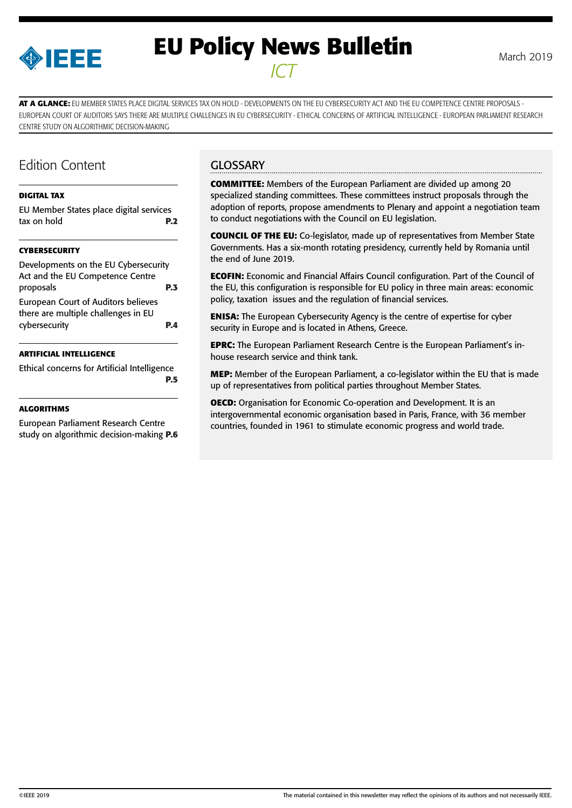

# **EU Policy News Bulletin** March 2019 *ICT*

**AT A GLANCE:** EU MEMBER STATES PLACE DIGITAL SERVICES TAX ON HOLD - DEVELOPMENTS ON THE EU CYBERSECURITY ACT AND THE EU COMPETENCE CENTRE PROPOSALS - EUROPEAN COURT OF AUDITORS SAYS THERE ARE MULTIPLE CHALLENGES IN EU CYBERSECURITY - ETHICAL CONCERNS OF ARTIFICIAL INTELLIGENCE - EUROPEAN PARLIAMENT RESEARCH CENTRE STUDY ON ALGORITHMIC DECISION-MAKING

# Edition Content

#### **[DIGITAL TAX](#page-1-0)**

[EU Member States place digital services](#page-1-0)  [tax on hold](#page-1-0) **P.2**

#### **[CYBERSECURITY](#page-2-0)**

| Developments on the EU Cybersecurity |
|--------------------------------------|
|                                      |
| P.3                                  |
|                                      |
|                                      |
| DД                                   |
|                                      |

#### **[ARTIFICIAL INTELLIGENCE](#page-4-0)**

[Ethical concerns for Artificial Intelligence](#page-4-0) **[P.5](#page-4-0)**

#### **[ALGORITHMS](#page-5-0)**

[European Parliament Research Centre](#page-5-0)  [study on algorithmic decision-making](#page-5-0) **P.6**

## **GLOSSARY**

**COMMITTEE:** Members of the European Parliament are divided up among 20 specialized standing committees. These committees instruct proposals through the adoption of reports, propose amendments to Plenary and appoint a negotiation team to conduct negotiations with the Council on EU legislation.

**COUNCIL OF THE EU:** Co-legislator, made up of representatives from Member State Governments. Has a six-month rotating presidency, currently held by Romania until the end of June 2019.

**ECOFIN:** Economic and Financial Affairs Council configuration. Part of the Council of the EU, this configuration is responsible for EU policy in three main areas: economic policy, taxation issues and the regulation of financial services.

**ENISA:** The European Cybersecurity Agency is the centre of expertise for cyber security in Europe and is located in Athens, Greece.

**EPRC:** The European Parliament Research Centre is the European Parliament's inhouse research service and think tank.

**MEP:** Member of the European Parliament, a co-legislator within the EU that is made up of representatives from political parties throughout Member States.

**OECD:** Organisation for Economic Co-operation and Development. It is an intergovernmental economic organisation based in Paris, France, with 36 member countries, founded in 1961 to stimulate economic progress and world trade.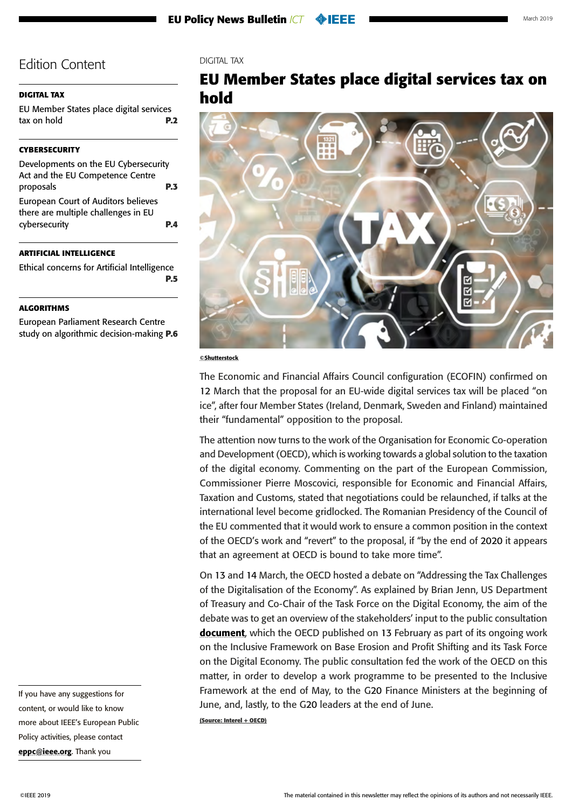### <span id="page-1-0"></span>**DIGITAL TAX**

EU Member States place digital services tax on hold **P.2**

### **[CYBERSECURITY](#page-2-0)**

| Developments on the EU Cybersecurity |            |
|--------------------------------------|------------|
| Act and the EU Competence Centre     |            |
| proposals                            | <b>P.3</b> |
| European Court of Auditors believes  |            |
| there are multiple challenges in EU  |            |
| cybersecurity                        | DД         |
|                                      |            |

### **[ARTIFICIAL INTELLIGENCE](#page-4-0)**

[Ethical concerns for Artificial Intelligence](#page-4-0) **[P.5](#page-4-0)**

### **[ALGORITHMS](#page-5-0)**

[European Parliament Research Centre](#page-5-0)  [study on algorithmic decision-making](#page-5-0) **P.6**

#### DIGITAL TAX

# **EU Member States place digital services tax on hold**



#### ©Shutterstock

The Economic and Financial Affairs Council configuration (ECOFIN) confirmed on 12 March that the proposal for an EU-wide digital services tax will be placed "on ice", after four Member States (Ireland, Denmark, Sweden and Finland) maintained their "fundamental" opposition to the proposal.

The attention now turns to the work of the Organisation for Economic Co-operation and Development (OECD), which is working towards a global solution to the taxation of the digital economy. Commenting on the part of the European Commission, Commissioner Pierre Moscovici, responsible for Economic and Financial Affairs, Taxation and Customs, stated that negotiations could be relaunched, if talks at the international level become gridlocked. The Romanian Presidency of the Council of the EU commented that it would work to ensure a common position in the context of the OECD's work and "revert" to the proposal, if "by the end of 2020 it appears that an agreement at OECD is bound to take more time".

On 13 and 14 March, the OECD hosted a debate on "Addressing the Tax Challenges of the Digitalisation of the Economy". As explained by Brian Jenn, US Department of Treasury and Co-Chair of the Task Force on the Digital Economy, the aim of the debate was to get an overview of the stakeholders' input to the public consultation **[document](http://www.oecd.org/tax/beps/public-consultation-document-addressing-the-tax-challenges-of-the-digitalisation-of-the-economy.pdf)**, which the OECD published on 13 February as part of its ongoing work on the Inclusive Framework on Base Erosion and Profit Shifting and its Task Force on the Digital Economy. The public consultation fed the work of the OECD on this matter, in order to develop a work programme to be presented to the Inclusive Framework at the end of May, to the G20 Finance Ministers at the beginning of June, and, lastly, to the G20 leaders at the end of June.

**(Source: Interel + OECD)**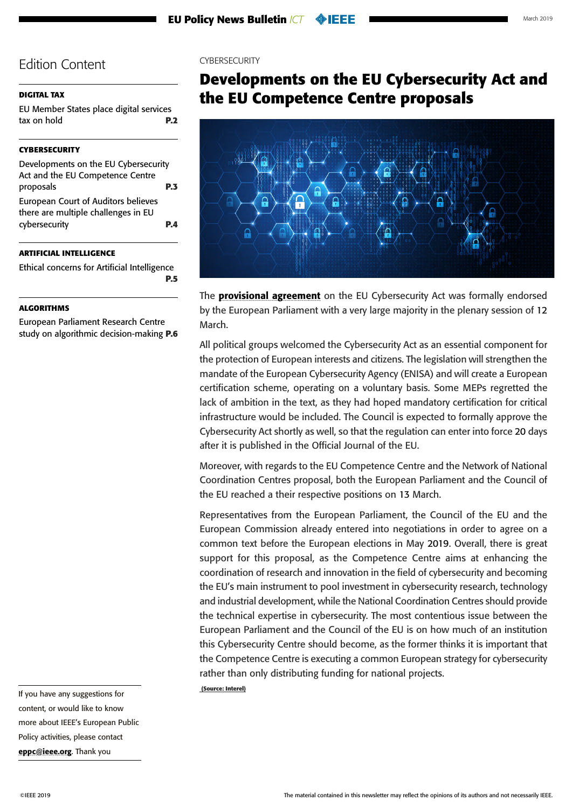#### <span id="page-2-0"></span>**[DIGITAL TAX](#page-1-0)**

[EU Member States place digital services](#page-1-0)  [tax on hold](#page-1-0) **P.2**

#### **CYBERSECURITY**

| Developments on the EU Cybersecurity                                              |     |
|-----------------------------------------------------------------------------------|-----|
| Act and the EU Competence Centre                                                  |     |
| proposals                                                                         | P.3 |
| <b>European Court of Auditors believes</b><br>there are multiple challenges in EU |     |
| cybersecurity                                                                     | PД  |

#### **[ARTIFICIAL INTELLIGENCE](#page-4-0)**

[Ethical concerns for Artificial Intelligence](#page-4-0) **[P.5](#page-4-0)**

#### **[ALGORITHMS](#page-5-0)**

[European Parliament Research Centre](#page-5-0)  [study on algorithmic decision-making](#page-5-0) **P.6**

#### CYBERSECURITY

# **Developments on the EU Cybersecurity Act and the EU Competence Centre proposals**



The **[provisional agreement](http://www.europarl.europa.eu/meetdocs/2014_2019/plmrep/COMMITTEES/ITRE/DV/2019/01-14/6-provisional-agreement-niebler-enisa-EN.pdf)** on the EU Cybersecurity Act was formally endorsed by the European Parliament with a very large majority in the plenary session of 12 March.

All political groups welcomed the Cybersecurity Act as an essential component for the protection of European interests and citizens. The legislation will strengthen the mandate of the European Cybersecurity Agency (ENISA) and will create a European certification scheme, operating on a voluntary basis. Some MEPs regretted the lack of ambition in the text, as they had hoped mandatory certification for critical infrastructure would be included. The Council is expected to formally approve the Cybersecurity Act shortly as well, so that the regulation can enter into force 20 days after it is published in the Official Journal of the EU.

Moreover, with regards to the EU Competence Centre and the Network of National Coordination Centres proposal, both the European Parliament and the Council of the EU reached a their respective positions on 13 March.

Representatives from the European Parliament, the Council of the EU and the European Commission already entered into negotiations in order to agree on a common text before the European elections in May 2019. Overall, there is great support for this proposal, as the Competence Centre aims at enhancing the coordination of research and innovation in the field of cybersecurity and becoming the EU's main instrument to pool investment in cybersecurity research, technology and industrial development, while the National Coordination Centres should provide the technical expertise in cybersecurity. The most contentious issue between the European Parliament and the Council of the EU is on how much of an institution this Cybersecurity Centre should become, as the former thinks it is important that the Competence Centre is executing a common European strategy for cybersecurity rather than only distributing funding for national projects.

 **(Source: Interel)**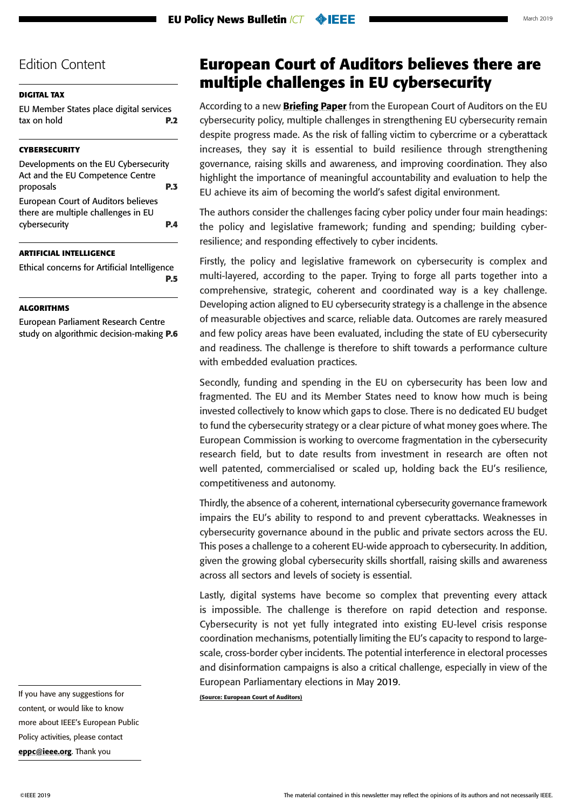### <span id="page-3-0"></span>**[DIGITAL TAX](#page-1-0)**

[EU Member States place digital services](#page-1-0)  [tax on hold](#page-1-0) **P.2**

### **[CYBERSECURITY](#page-2-0)**

| Developments on the EU Cybersecurity                                       |            |
|----------------------------------------------------------------------------|------------|
| Act and the EU Competence Centre                                           |            |
| proposals                                                                  | <b>P.3</b> |
| European Court of Auditors believes<br>there are multiple challenges in EU |            |
| cybersecurity                                                              | PД         |

### **[ARTIFICIAL INTELLIGENCE](#page-4-0)**

[Ethical concerns for Artificial Intelligence](#page-4-0) **[P.5](#page-4-0)**

#### **[ALGORITHMS](#page-5-0)**

[European Parliament Research Centre](#page-5-0)  [study on algorithmic decision-making](#page-5-0) **P.6**

# **European Court of Auditors believes there are multiple challenges in EU cybersecurity**

According to a new **[Briefing Paper](https://www.eca.europa.eu/Lists/ECADocuments/BRP_CYBERSECURITY/BRP_CYBERSECURITY_EN.pdf)** from the European Court of Auditors on the EU cybersecurity policy, multiple challenges in strengthening EU cybersecurity remain despite progress made. As the risk of falling victim to cybercrime or a cyberattack increases, they say it is essential to build resilience through strengthening governance, raising skills and awareness, and improving coordination. They also highlight the importance of meaningful accountability and evaluation to help the EU achieve its aim of becoming the world's safest digital environment.

The authors consider the challenges facing cyber policy under four main headings: the policy and legislative framework; funding and spending; building cyberresilience; and responding effectively to cyber incidents.

Firstly, the policy and legislative framework on cybersecurity is complex and multi-layered, according to the paper. Trying to forge all parts together into a comprehensive, strategic, coherent and coordinated way is a key challenge. Developing action aligned to EU cybersecurity strategy is a challenge in the absence of measurable objectives and scarce, reliable data. Outcomes are rarely measured and few policy areas have been evaluated, including the state of EU cybersecurity and readiness. The challenge is therefore to shift towards a performance culture with embedded evaluation practices.

Secondly, funding and spending in the EU on cybersecurity has been low and fragmented. The EU and its Member States need to know how much is being invested collectively to know which gaps to close. There is no dedicated EU budget to fund the cybersecurity strategy or a clear picture of what money goes where. The European Commission is working to overcome fragmentation in the cybersecurity research field, but to date results from investment in research are often not well patented, commercialised or scaled up, holding back the EU's resilience, competitiveness and autonomy.

Thirdly, the absence of a coherent, international cybersecurity governance framework impairs the EU's ability to respond to and prevent cyberattacks. Weaknesses in cybersecurity governance abound in the public and private sectors across the EU. This poses a challenge to a coherent EU-wide approach to cybersecurity. In addition, given the growing global cybersecurity skills shortfall, raising skills and awareness across all sectors and levels of society is essential.

Lastly, digital systems have become so complex that preventing every attack is impossible. The challenge is therefore on rapid detection and response. Cybersecurity is not yet fully integrated into existing EU-level crisis response coordination mechanisms, potentially limiting the EU's capacity to respond to largescale, cross-border cyber incidents. The potential interference in electoral processes and disinformation campaigns is also a critical challenge, especially in view of the European Parliamentary elections in May 2019.

**(Source: European Court of Auditors)**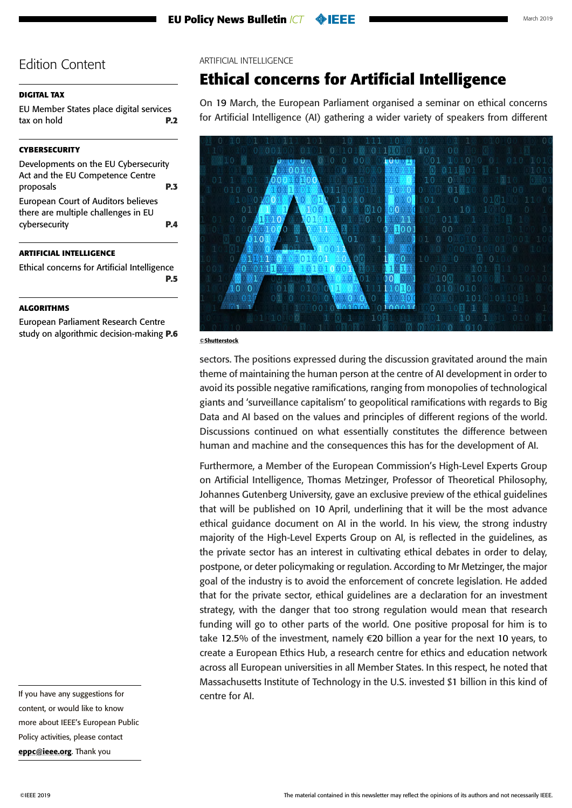### <span id="page-4-0"></span>**[DIGITAL TAX](#page-1-0)**

[EU Member States place digital services](#page-1-0)  [tax on hold](#page-1-0) **P.2**

### **[CYBERSECURITY](#page-2-0)**

[Developments on the EU Cybersecurity](#page-2-0)  [Act and the EU Competence Centre](#page-2-0)  [proposals](#page-2-0) **P.3** [European Court of Auditors believes](#page-3-0)  [there are multiple challenges in EU](#page-3-0)  [cybersecurity](#page-3-0) **P.4**

### **ARTIFICIAL INTELLIGENCE**

Ethical concerns for Artificial Intelligence **P.5**

### **[ALGORITHMS](#page-5-0)**

[European Parliament Research Centre](#page-5-0)  [study on algorithmic decision-making](#page-5-0) **P.6** ARTIFICIAL INTELLIGENCE

# **Ethical concerns for Artificial Intelligence**

On 19 March, the European Parliament organised a seminar on ethical concerns for Artificial Intelligence (AI) gathering a wider variety of speakers from different



#### ©Shutterstock

sectors. The positions expressed during the discussion gravitated around the main theme of maintaining the human person at the centre of AI development in order to avoid its possible negative ramifications, ranging from monopolies of technological giants and 'surveillance capitalism' to geopolitical ramifications with regards to Big Data and AI based on the values and principles of different regions of the world. Discussions continued on what essentially constitutes the difference between human and machine and the consequences this has for the development of AI.

Furthermore, a Member of the European Commission's High-Level Experts Group on Artificial Intelligence, Thomas Metzinger, Professor of Theoretical Philosophy, Johannes Gutenberg University, gave an exclusive preview of the ethical guidelines that will be published on 10 April, underlining that it will be the most advance ethical guidance document on AI in the world. In his view, the strong industry majority of the High-Level Experts Group on AI, is reflected in the guidelines, as the private sector has an interest in cultivating ethical debates in order to delay, postpone, or deter policymaking or regulation. According to Mr Metzinger, the major goal of the industry is to avoid the enforcement of concrete legislation. He added that for the private sector, ethical guidelines are a declaration for an investment strategy, with the danger that too strong regulation would mean that research funding will go to other parts of the world. One positive proposal for him is to take 12.5% of the investment, namely €20 billion a year for the next 10 years, to create a European Ethics Hub, a research centre for ethics and education network across all European universities in all Member States. In this respect, he noted that Massachusetts Institute of Technology in the U.S. invested \$1 billion in this kind of centre for AI.